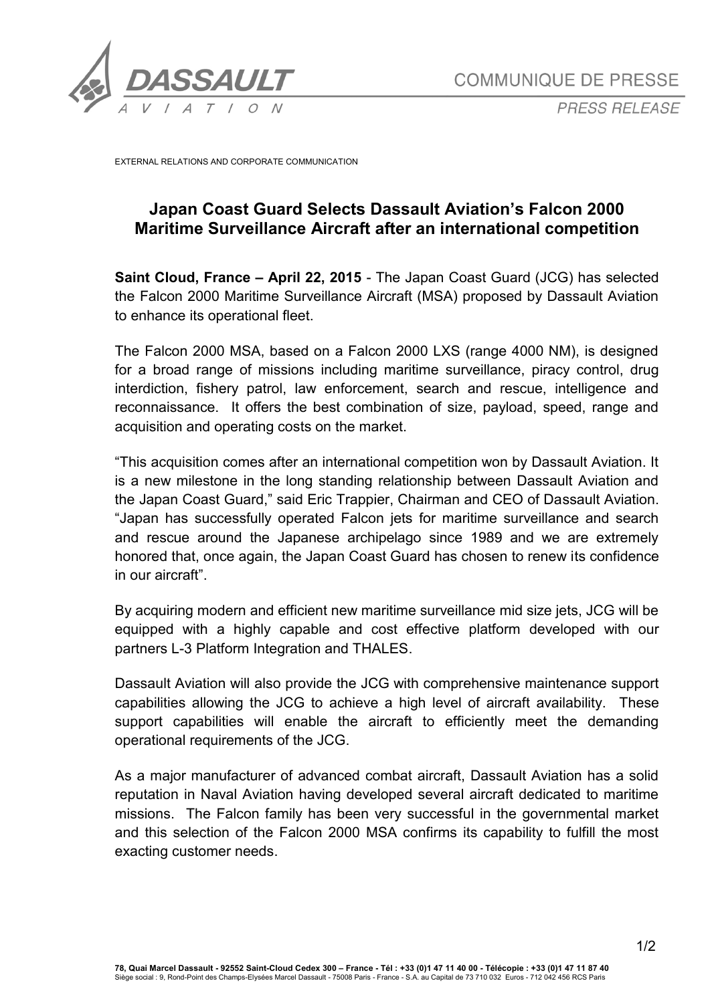

*PRESS RELEASE*

EXTERNAL RELATIONS AND CORPORATE COMMUNICATION

## **Japan Coast Guard Selects Dassault Aviation's Falcon 2000 Maritime Surveillance Aircraft after an international competition**

**Saint Cloud, France – April 22, 2015** - The Japan Coast Guard (JCG) has selected the Falcon 2000 Maritime Surveillance Aircraft (MSA) proposed by Dassault Aviation to enhance its operational fleet.

The Falcon 2000 MSA, based on a Falcon 2000 LXS (range 4000 NM), is designed for a broad range of missions including maritime surveillance, piracy control, drug interdiction, fishery patrol, law enforcement, search and rescue, intelligence and reconnaissance. It offers the best combination of size, payload, speed, range and acquisition and operating costs on the market.

"This acquisition comes after an international competition won by Dassault Aviation. It is a new milestone in the long standing relationship between Dassault Aviation and the Japan Coast Guard," said Eric Trappier, Chairman and CEO of Dassault Aviation. "Japan has successfully operated Falcon jets for maritime surveillance and search and rescue around the Japanese archipelago since 1989 and we are extremely honored that, once again, the Japan Coast Guard has chosen to renew its confidence in our aircraft".

By acquiring modern and efficient new maritime surveillance mid size jets, JCG will be equipped with a highly capable and cost effective platform developed with our partners L-3 Platform Integration and THALES.

Dassault Aviation will also provide the JCG with comprehensive maintenance support capabilities allowing the JCG to achieve a high level of aircraft availability. These support capabilities will enable the aircraft to efficiently meet the demanding operational requirements of the JCG.

As a major manufacturer of advanced combat aircraft, Dassault Aviation has a solid reputation in Naval Aviation having developed several aircraft dedicated to maritime missions. The Falcon family has been very successful in the governmental market and this selection of the Falcon 2000 MSA confirms its capability to fulfill the most exacting customer needs.